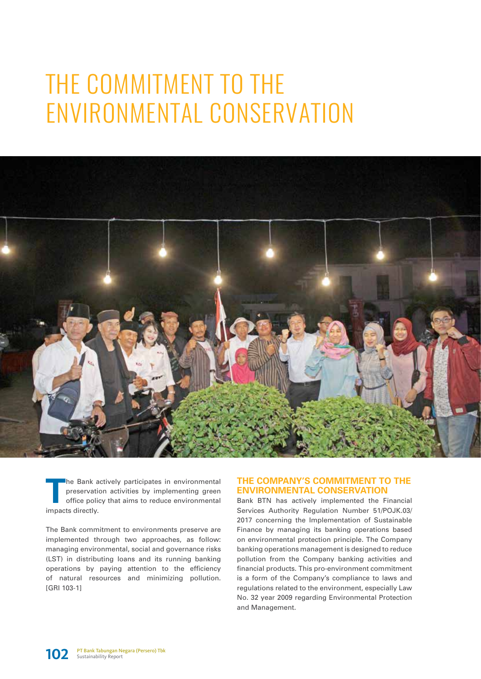# THE COMMITMENT TO THE ENVIRONMENTAL CONSERVATION



**T**he Bank actively participates in environmental preservation activities by implementing green office policy that aims to reduce environmental impacts directly.

The Bank commitment to environments preserve are implemented through two approaches, as follow: managing environmental, social and governance risks (LST) in distributing loans and its running banking operations by paying attention to the efficiency of natural resources and minimizing pollution. [GRI 103-1]

## **THE COMPANY'S COMMITMENT TO THE ENVIRONMENTAL CONSERVATION**

Bank BTN has actively implemented the Financial Services Authority Regulation Number 51/POJK.03/ 2017 concerning the Implementation of Sustainable Finance by managing its banking operations based on environmental protection principle. The Company banking operations management is designed to reduce pollution from the Company banking activities and financial products. This pro-environment commitment is a form of the Company's compliance to laws and regulations related to the environment, especially Law No. 32 year 2009 regarding Environmental Protection and Management.

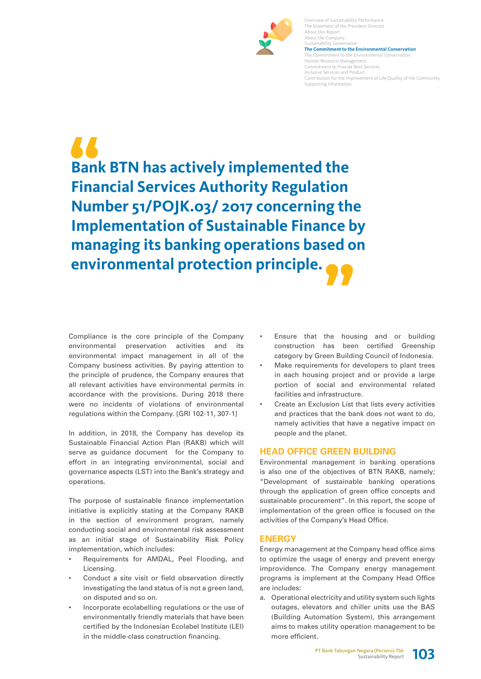

The Statement of the President Director About this Report About the Company Sustainability Govern **The Commitment to the Environmental Conservation**  The Commitment to the Environmental Conservation Human Resource Management Commitment to Provide Best Services Inclusive Services and Product Contribution for the Improvement of Life Quality of the Community Supporting Information

Overview of Sustainability Performance

**Bank BTN has actively implemented the Financial Services Authority Regulation Number 51/POJK.03/ 2017 concerning the Implementation of Sustainable Finance by managing its banking operations based on environmental protection principle.**

Compliance is the core principle of the Company environmental preservation activities and its environmental impact management in all of the Company business activities. By paying attention to the principle of prudence, the Company ensures that all relevant activities have environmental permits in accordance with the provisions. During 2018 there were no incidents of violations of environmental regulations within the Company. [GRI 102-11, 307-1]

In addition, in 2018, the Company has develop its Sustainable Financial Action Plan (RAKB) which will serve as guidance document for the Company to effort in an integrating environmental, social and governance aspects (LST) into the Bank's strategy and operations.

The purpose of sustainable finance implementation initiative is explicitly stating at the Company RAKB in the section of environment program, namely conducting social and environmental risk assessment as an initial stage of Sustainability Risk Policy implementation, which includes:

- Requirements for AMDAL, Peel Flooding, and Licensing.
- Conduct a site visit or field observation directly investigating the land status of is not a green land, on disputed and so on.
- Incorporate ecolabelling regulations or the use of environmentally friendly materials that have been certified by the Indonesian Ecolabel Institute (LEI) in the middle-class construction financing.
- Ensure that the housing and or building construction has been certified Greenship category by Green Building Council of Indonesia.
- Make requirements for developers to plant trees in each housing project and or provide a large portion of social and environmental related facilities and infrastructure.
- Create an Exclusion List that lists every activities and practices that the bank does not want to do, namely activities that have a negative impact on people and the planet.

#### **HEAD OFFICE GREEN BUILDING**

Environmental management in banking operations is also one of the objectives of BTN RAKB, namely; "Development of sustainable banking operations through the application of green office concepts and sustainable procurement". In this report, the scope of implementation of the green office is focused on the activities of the Company's Head Office.

#### **ENERGY**

Energy management at the Company head office aims to optimize the usage of energy and prevent energy improvidence. The Company energy management programs is implement at the Company Head Office are includes:

a. Operational electricity and utility system such lights outages, elevators and chiller units use the BAS (Building Automation System), this arrangement aims to makes utility operation management to be more efficient.

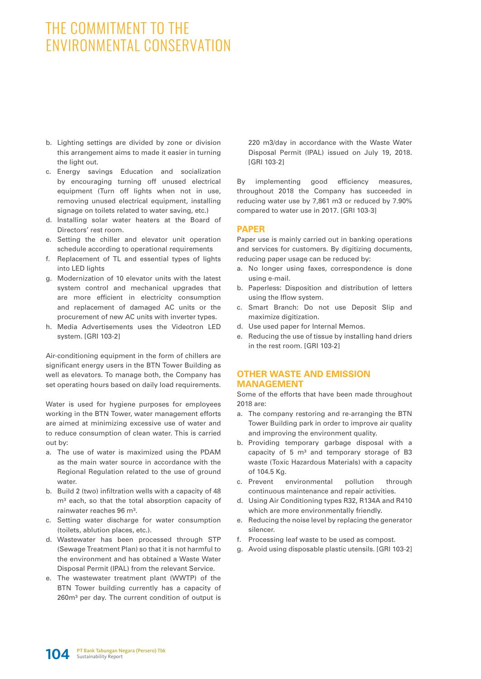# THE COMMITMENT TO THE ENVIRONMENTAL CONSERVATION

- b. Lighting settings are divided by zone or division this arrangement aims to made it easier in turning the light out.
- c. Energy savings Education and socialization by encouraging turning off unused electrical equipment (Turn off lights when not in use, removing unused electrical equipment, installing signage on toilets related to water saving, etc.)
- d. Installing solar water heaters at the Board of Directors' rest room.
- e. Setting the chiller and elevator unit operation schedule according to operational requirements
- f. Replacement of TL and essential types of lights into LED lights
- g. Modernization of 10 elevator units with the latest system control and mechanical upgrades that are more efficient in electricity consumption and replacement of damaged AC units or the procurement of new AC units with inverter types.
- h. Media Advertisements uses the Videotron LED system. [GRI 103-2]

Air-conditioning equipment in the form of chillers are significant energy users in the BTN Tower Building as well as elevators. To manage both, the Company has set operating hours based on daily load requirements.

Water is used for hygiene purposes for employees working in the BTN Tower, water management efforts are aimed at minimizing excessive use of water and to reduce consumption of clean water. This is carried out by:

- a. The use of water is maximized using the PDAM as the main water source in accordance with the Regional Regulation related to the use of ground water.
- b. Build 2 (two) infiltration wells with a capacity of 48 m<sup>3</sup> each, so that the total absorption capacity of rainwater reaches 96 m<sup>3</sup>.
- c. Setting water discharge for water consumption (toilets, ablution places, etc.).
- d. Wastewater has been processed through STP (Sewage Treatment Plan) so that it is not harmful to the environment and has obtained a Waste Water Disposal Permit (IPAL) from the relevant Service.
- e. The wastewater treatment plant (WWTP) of the BTN Tower building currently has a capacity of 260m<sup>3</sup> per day. The current condition of output is

220 m3/day in accordance with the Waste Water Disposal Permit (IPAL) issued on July 19, 2018. [GRI 103-2]

By implementing good efficiency measures, throughout 2018 the Company has succeeded in reducing water use by 7,861 m3 or reduced by 7.90% compared to water use in 2017. [GRI 103-3]

## **PAPER**

Paper use is mainly carried out in banking operations and services for customers. By digitizing documents, reducing paper usage can be reduced by:

- a. No longer using faxes, correspondence is done using e-mail.
- b. Paperless: Disposition and distribution of letters using the Iflow system.
- c. Smart Branch: Do not use Deposit Slip and maximize digitization.
- d. Use used paper for Internal Memos.
- e. Reducing the use of tissue by installing hand driers in the rest room. [GRI 103-2]

## **OTHER WASTE AND EMISSION MANAGEMENT**

Some of the efforts that have been made throughout 2018 are:

- a. The company restoring and re-arranging the BTN Tower Building park in order to improve air quality and improving the environment quality.
- b. Providing temporary garbage disposal with a capacity of  $5 \text{ m}^3$  and temporary storage of B3 waste (Toxic Hazardous Materials) with a capacity of 104.5 Kg.
- c. Prevent environmental pollution through continuous maintenance and repair activities.
- d. Using Air Conditioning types R32, R134A and R410 which are more environmentally friendly.
- e. Reducing the noise level by replacing the generator silencer.
- f. Processing leaf waste to be used as compost.
- g. Avoid using disposable plastic utensils. [GRI 103-2]

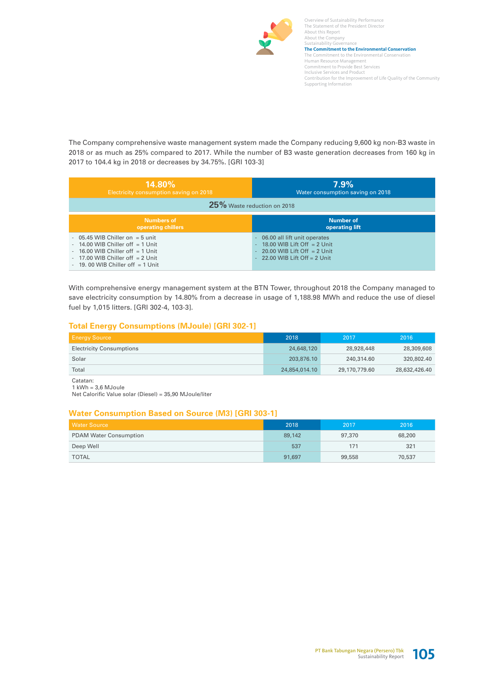

Overview of Sustainability Performance The Statement of the President Director About this Report About the Company Sustainability Governance **The Commitment to the Environmental Conservation**  The Commitment to the Environmental Conservation Human Resource Management Commitment to Provide Best Services Inclusive Services and Product Contribution for the Improvement of Life Quality of the Community Supporting Information

The Company comprehensive waste management system made the Company reducing 9,600 kg non-B3 waste in 2018 or as much as 25% compared to 2017. While the number of B3 waste generation decreases from 160 kg in 2017 to 104.4 kg in 2018 or decreases by 34.75%. [GRI 103-3]

| $14.80\%$                                                                                                                                                                                 | 7.9%                                                                                                                                       |  |  |  |  |  |  |  |
|-------------------------------------------------------------------------------------------------------------------------------------------------------------------------------------------|--------------------------------------------------------------------------------------------------------------------------------------------|--|--|--|--|--|--|--|
| Electricity consumption saving on 2018                                                                                                                                                    | Water consumption saving on 2018                                                                                                           |  |  |  |  |  |  |  |
| 25% Waste reduction on 2018                                                                                                                                                               |                                                                                                                                            |  |  |  |  |  |  |  |
| Numbers of                                                                                                                                                                                | Number of                                                                                                                                  |  |  |  |  |  |  |  |
| operating chillers                                                                                                                                                                        | operating lift                                                                                                                             |  |  |  |  |  |  |  |
| $-05.45$ WIB Chiller on $= 5$ unit<br>$-14.00$ WIB Chiller off $=1$ Unit<br>16.00 WIB Chiller off $=$ 1 Unit<br>$-17.00$ WIB Chiller off $= 2$ Unit<br>$-19.00$ WIB Chiller off $=1$ Unit | - 06.00 all lift unit operates<br>$-18.00$ WIB Lift Off $= 2$ Unit<br>$-20.00$ WIB Lift Off $= 2$ Unit<br>$-22.00$ WIB Lift Off $= 2$ Unit |  |  |  |  |  |  |  |

With comprehensive energy management system at the BTN Tower, throughout 2018 the Company managed to save electricity consumption by 14.80% from a decrease in usage of 1,188.98 MWh and reduce the use of diesel fuel by 1,015 litters. [GRI 302-4, 103-3].

#### **Total Energy Consumptions (MJoule) [GRI 302-1]**

| <b>Energy Source</b>            | 2018          | 2017          | 2016          |
|---------------------------------|---------------|---------------|---------------|
| <b>Electricity Consumptions</b> | 24,648,120    | 28,928,448    | 28,309,608    |
| Solar                           | 203.876.10    | 240,314,60    | 320,802.40    |
| Total                           | 24,854,014.10 | 29,170,779.60 | 28,632,426.40 |

Catatan:  $1$  kWh =  $3,6$  MJoule

Net Calorific Value solar (Diesel) = 35,90 MJoule/liter

#### **Water Consumption Based on Source (M3) [GRI 303-1]**

| <b>Water Source</b>           | 2018   | 2017   | 2016   |
|-------------------------------|--------|--------|--------|
| <b>PDAM Water Consumption</b> | 89,142 | 97,370 | 68,200 |
| Deep Well                     | 537    | 171    | 321    |
| <b>TOTAL</b>                  | 91,697 | 99,558 | 70,537 |

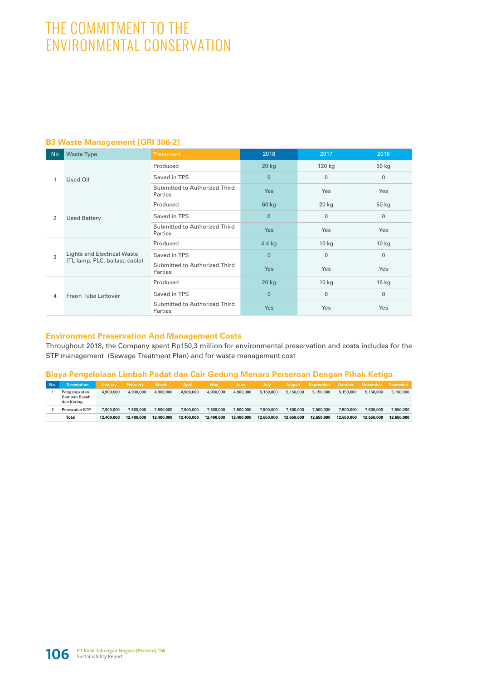# THE COMMITMENT TO THE ENVIRONMENTAL CONSERVATION

#### **B3 Waste Management [GRI 306-2]**

| <b>No</b> | <b>Waste Type</b>                                                    | <b>Treatment</b>                         | 2018           | 2017         | 2016         |
|-----------|----------------------------------------------------------------------|------------------------------------------|----------------|--------------|--------------|
| 1         |                                                                      | Produced                                 | $20$ kg        | 120 kg       | 50 kg        |
|           | Used Oil                                                             | Saved in TPS                             | $\mathbf{0}$   | $\mathbf{0}$ | $\mathbf 0$  |
|           |                                                                      | Submitted to Authorized Third<br>Parties | <b>Yes</b>     | Yes          | Yes          |
|           | <b>Used Battery</b>                                                  | Produced                                 | 60 kg          | 20 kg        | 50 kg        |
| 2         |                                                                      | Saved in TPS                             | $\mathbf{0}$   | $\mathbf{0}$ | $\Omega$     |
|           |                                                                      | Submitted to Authorized Third<br>Parties | Yes            | Yes          | Yes          |
|           | <b>Lights and Electrical Waste</b><br>(TL lamp, PLC, ballast, cable) | Produced                                 | 4.4 kg         | $10$ kg      | $10$ kg      |
| 3         |                                                                      | Saved in TPS                             | $\overline{0}$ | $\mathbf{0}$ | $\Omega$     |
|           |                                                                      | Submitted to Authorized Third<br>Parties | Yes            | Yes          | Yes          |
|           | Freon Tube Leftover                                                  | Produced                                 | $20$ kg        | $10$ kg      | $15$ kg      |
| 4         |                                                                      | Saved in TPS                             | $\overline{0}$ | $\mathbf{0}$ | $\mathbf{0}$ |
|           |                                                                      | Submitted to Authorized Third<br>Parties | Yes            | Yes          | Yes          |

#### **Environment Preservation And Management Costs**

Throughout 2018, the Company spent Rp150,3 million for environmental preservation and costs includes for the STP management (Sewage Treatment Plan) and for waste management cost

#### **Biaya Pengelolaan Limbah Padat dan Cair Gedung Menara Perseroan Dengan Pihak Ketiga**

| No. | <b>Description</b>                         | <b>January</b> | February   | <b>March</b> | <b>April</b> | <b>May</b> | June       | July       | August     | September  | October    | <b>November</b> | <b>December</b> |
|-----|--------------------------------------------|----------------|------------|--------------|--------------|------------|------------|------------|------------|------------|------------|-----------------|-----------------|
|     | Pengangkutan<br>Sampah Basah<br>dan Kering | 4,900,000      | 4,900,000  | 4,900,000    | 4.900.000    | 4,900,000  | 4.900.000  | 5,150,000  | 5,150,000  | 5,150,000  | 5.150.000  | 5.150.000       | 5.150.000       |
|     | Perawatan STP                              | 7,500,000      | 7,500,000  | 7,500,000    | 7,500,000    | 7,500,000  | 7,500,000  | 7,500,000  | 7,500,000  | 7,500,000  | 7.500.000  | 7.500.000       | 7,500,000       |
|     | <b>Total</b>                               | 12,400,000     | 12,400,000 | 12,400,000   | 12,400,000   | 12,400,000 | 12,400,000 | 12.650.000 | 12.650.000 | 12.650.000 | 12.650.000 | 12.650.000      | 12.650.000      |